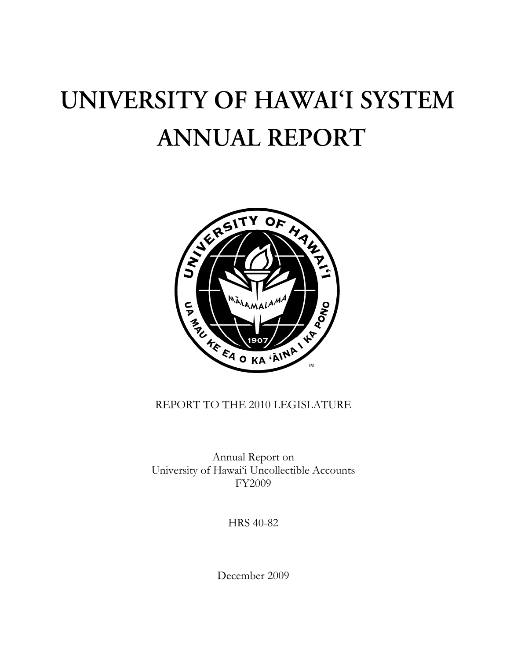## UNIVERSITY OF HAWAI'I SYSTEM **ANNUAL REPORT**



## REPORT TO THE 2010 LEGISLATURE

Annual Report on University of Hawai'i Uncollectible Accounts FY2009

HRS 40-82

December 2009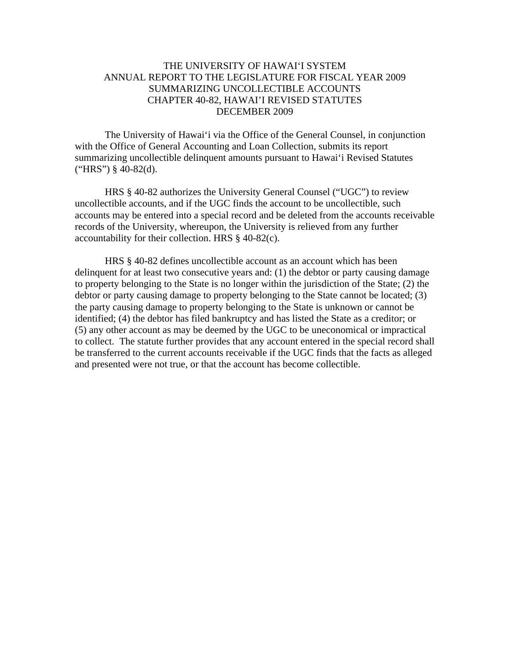## THE UNIVERSITY OF HAWAI'I SYSTEM ANNUAL REPORT TO THE LEGISLATURE FOR FISCAL YEAR 2009 SUMMARIZING UNCOLLECTIBLE ACCOUNTS CHAPTER 40-82, HAWAI'I REVISED STATUTES DECEMBER 2009

 The University of Hawai'i via the Office of the General Counsel, in conjunction with the Office of General Accounting and Loan Collection, submits its report summarizing uncollectible delinquent amounts pursuant to Hawai'i Revised Statutes  $("HRS")$  § 40-82(d).

 HRS § 40-82 authorizes the University General Counsel ("UGC") to review uncollectible accounts, and if the UGC finds the account to be uncollectible, such accounts may be entered into a special record and be deleted from the accounts receivable records of the University, whereupon, the University is relieved from any further accountability for their collection. HRS § 40-82(c).

 HRS § 40-82 defines uncollectible account as an account which has been delinquent for at least two consecutive years and: (1) the debtor or party causing damage to property belonging to the State is no longer within the jurisdiction of the State; (2) the debtor or party causing damage to property belonging to the State cannot be located; (3) the party causing damage to property belonging to the State is unknown or cannot be identified; (4) the debtor has filed bankruptcy and has listed the State as a creditor; or (5) any other account as may be deemed by the UGC to be uneconomical or impractical to collect. The statute further provides that any account entered in the special record shall be transferred to the current accounts receivable if the UGC finds that the facts as alleged and presented were not true, or that the account has become collectible.